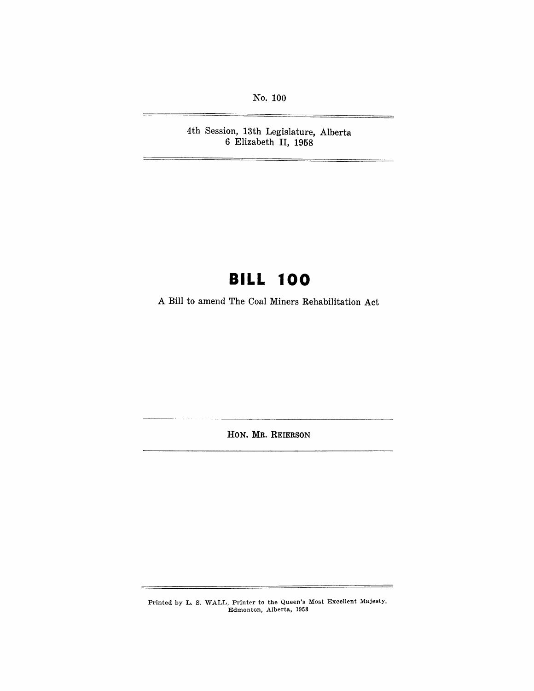No. 100

 $\equiv$ 

4th Session, 13th Legislature, Alberta 6 Elizabeth II, 1958

# **BILL 100**

A Bill to amend The Coal Miners Rehabilitation Act

HON. MR. REIERSON

Printed by L. S. WALL, Printer to the Queen's Most Excellent Majesty, Edmonton, Alberta, 1958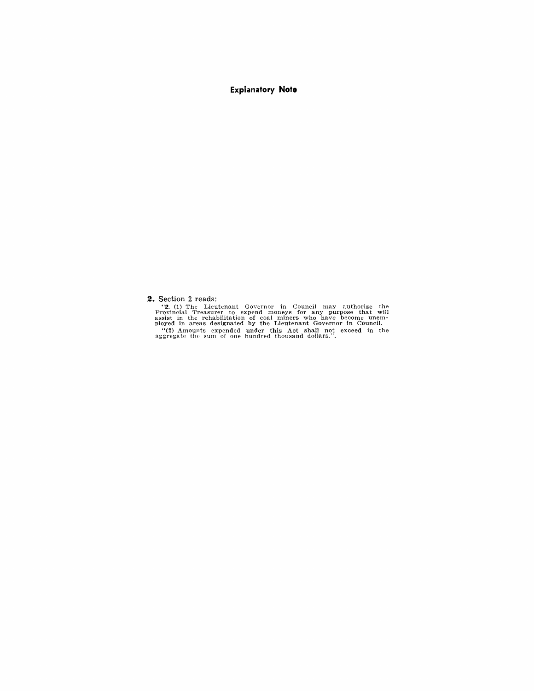**Explanatory Note** 

**2.** Section 2 reads:

"2. (1) The Lieutenant Governor in Council may authorize the Provincial Treasurer to expend moneys for any purpose that will assist in the rehabilitation of coal miners who have become unemployed in areas designated by the "(2) Amounts expended under this Act shall not exceed in the aggregate the sum of one hundred thousand dollars.".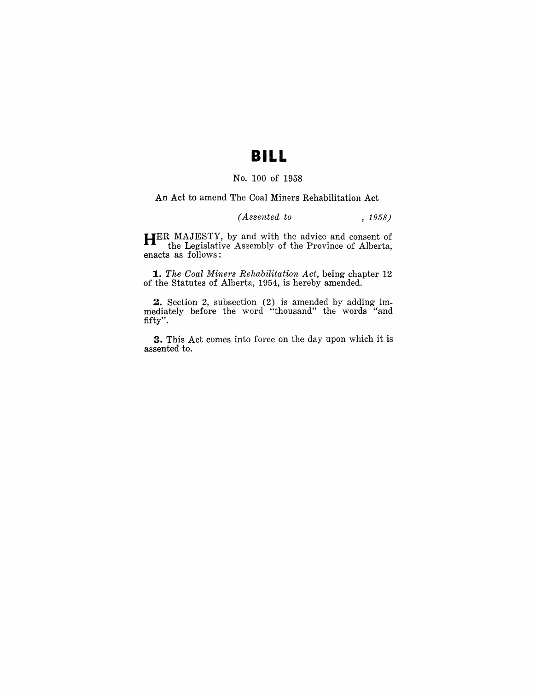### **BILL**

### No. 100 of 1958

#### An Act to amend The Coal Miners Rehabilitation Act

#### *(Assented to* , 1958)

HER MAJESTY, by and with the advice and consent of the Legislative Assembly of the Province of Alberta, enacts as follows:

*1. The Coal Miners Rehabilitation Act,* being chapter 12 of the Statutes of Alberta, 1954, is hereby amended.

2. Section 2, subsection (2) is amended by adding immediately before the word "thousand" the words "and fifty".

3. This Act comes into force on the day upon which it is assented to.